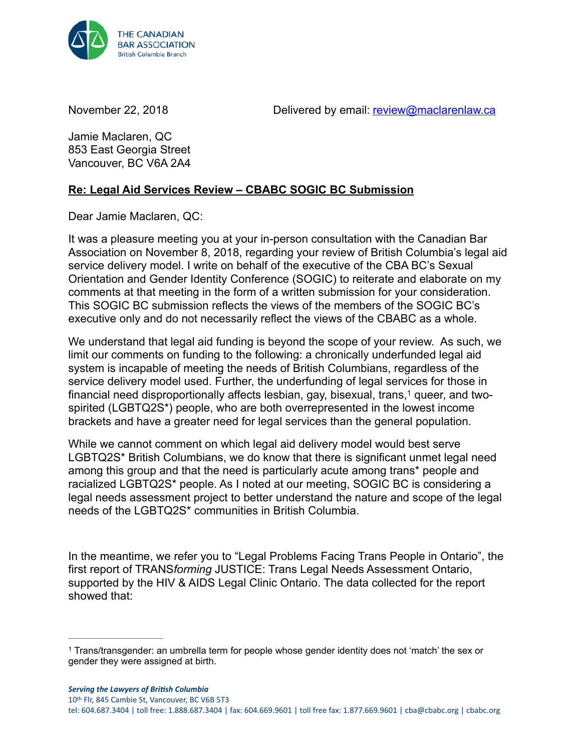

November 22, 2018 **Delivered by email:** [review@maclarenlaw.ca](mailto:review@maclarenlaw.ca)

Jamie Maclaren, QC 853 East Georgia Street Vancouver, BC V6A 2A4

## **Re: Legal Aid Services Review – CBABC SOGIC BC Submission**

Dear Jamie Maclaren, QC:

It was a pleasure meeting you at your in-person consultation with the Canadian Bar Association on November 8, 2018, regarding your review of British Columbia's legal aid service delivery model. I write on behalf of the executive of the CBA BC's Sexual Orientation and Gender Identity Conference (SOGIC) to reiterate and elaborate on my comments at that meeting in the form of a written submission for your consideration. This SOGIC BC submission reflects the views of the members of the SOGIC BC's executive only and do not necessarily reflect the views of the CBABC as a whole.

We understand that legal aid funding is beyond the scope of your review. As such, we limit our comments on funding to the following: a chronically underfunded legal aid system is incapable of meeting the needs of British Columbians, regardless of the service delivery model used. Further, the underfunding of legal services for those in financial need disproportionally affects lesbian[,](#page-0-0) gay, bisexual, trans,<sup>1</sup> queer, and twospirited (LGBTQ2S\*) people, who are both overrepresented in the lowest income brackets and have a greater need for legal services than the general population.

<span id="page-0-1"></span>While we cannot comment on which legal aid delivery model would best serve LGBTQ2S\* British Columbians, we do know that there is significant unmet legal need among this group and that the need is particularly acute among trans\* people and racialized LGBTQ2S\* people. As I noted at our meeting, SOGIC BC is considering a legal needs assessment project to better understand the nature and scope of the legal needs of the LGBTQ2S\* communities in British Columbia.

In the meantime, we refer you to "Legal Problems Facing Trans People in Ontario", the first report of TRANS*forming* JUSTICE: Trans Legal Needs Assessment Ontario, supported by the HIV & AIDS Legal Clinic Ontario. The data collected for the report showed that:

<span id="page-0-0"></span><sup>&</sup>lt;sup>1</sup>Trans/transgender: an umbrella term for people whose gender identity does not 'match' the sex or gender they were assigned at birth.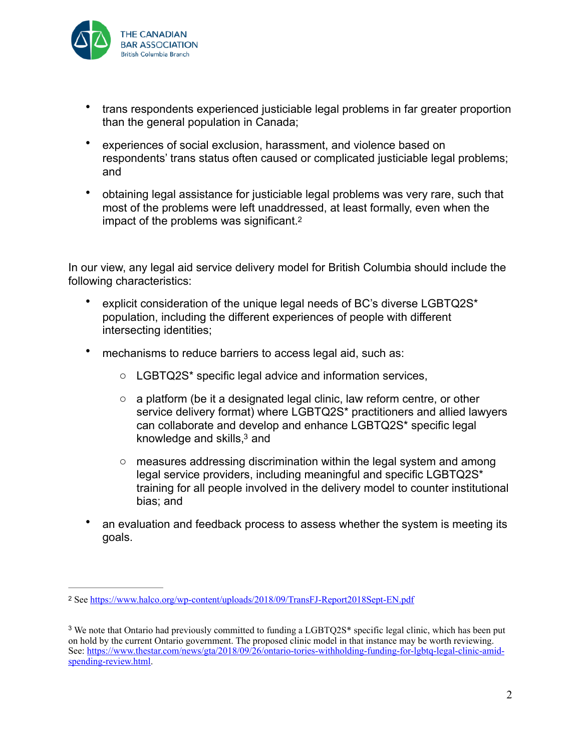

- trans respondents experienced justiciable legal problems in far greater proportion than the general population in Canada;
- experiences of social exclusion, harassment, and violence based on respondents' trans status often caused or complicated justiciable legal problems; and
- <span id="page-1-2"></span>• obtaining legal assistance for justiciable legal problems was very rare, such that most of the problems were left unaddressed, at least formally, even when the impact of the problems was significant[.2](#page-1-0)

In our view, any legal aid service delivery model for British Columbia should include the following characteristics:

- explicit consideration of the unique legal needs of BC's diverse LGBTQ2S\* population, including the different experiences of people with different intersecting identities;
- mechanisms to reduce barriers to access legal aid, such as:
	- o LGBTQ2S\* specific legal advice and information services,
	- $\circ$  a platform (be it a designated legal clinic, law reform centre, or other service delivery format) where LGBTQ2S\* practitioners and allied lawyers can collaborate and develop and enhance LGBTQ2S\* specific legal knowledge and  $\text{skills},^3$  $\text{skills},^3$  and
	- $\circ$  measures addressing discrimination within the legal system and among legal service providers, including meaningful and specific LGBTQ2S\* training for all people involved in the delivery model to counter institutional bias; and
- <span id="page-1-3"></span>• an evaluation and feedback process to assess whether the system is meeting its goals.

<span id="page-1-0"></span><sup>2</sup> See<https://www.halco.org/wp-content/uploads/2018/09/TransFJ-Report2018Sept-EN.pdf>

<span id="page-1-1"></span><sup>&</sup>lt;sup>[3](#page-1-3)</sup> We note that Ontario had previously committed to funding a LGBTQ2S<sup>\*</sup> specific legal clinic, which has been put on hold by the current Ontario government. The proposed clinic model in that instance may be worth reviewing. [See: https://www.thestar.com/news/gta/2018/09/26/ontario-tories-withholding-funding-for-lgbtq-legal-clinic-amid](https://www.thestar.com/news/gta/2018/09/26/ontario-tories-withholding-funding-for-lgbtq-legal-clinic-amid-spending-review.html)[spending-review.html.](https://www.thestar.com/news/gta/2018/09/26/ontario-tories-withholding-funding-for-lgbtq-legal-clinic-amid-spending-review.html)